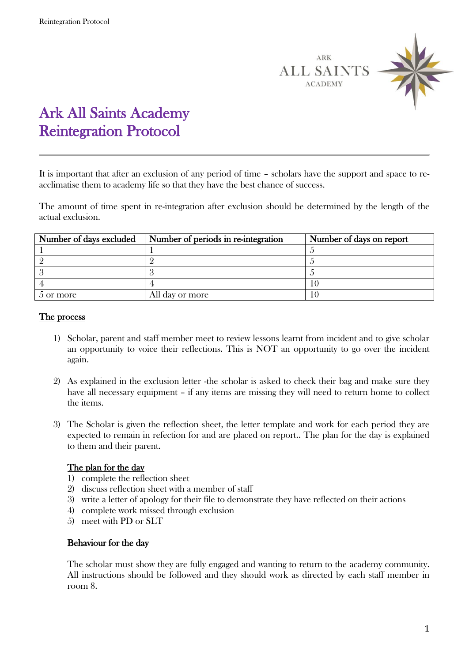

## Ark All Saints Academy Reintegration Protocol

It is important that after an exclusion of any period of time – scholars have the support and space to reacclimatise them to academy life so that they have the best chance of success.

The amount of time spent in re-integration after exclusion should be determined by the length of the actual exclusion.

| Number of days excluded | Number of periods in re-integration | Number of days on report |
|-------------------------|-------------------------------------|--------------------------|
|                         |                                     |                          |
|                         |                                     |                          |
|                         |                                     |                          |
|                         |                                     |                          |
| 5 or more               | All day or more                     |                          |

## The process

- 1) Scholar, parent and staff member meet to review lessons learnt from incident and to give scholar an opportunity to voice their reflections. This is NOT an opportunity to go over the incident again.
- 2) As explained in the exclusion letter -the scholar is asked to check their bag and make sure they have all necessary equipment – if any items are missing they will need to return home to collect the items.
- 3) The Scholar is given the reflection sheet, the letter template and work for each period they are expected to remain in refection for and are placed on report.. The plan for the day is explained to them and their parent.

## The plan for the day

- 1) complete the reflection sheet
- 2) discuss reflection sheet with a member of staff
- 3) write a letter of apology for their file to demonstrate they have reflected on their actions
- 4) complete work missed through exclusion
- 5) meet with PD or SLT

## Behaviour for the day

The scholar must show they are fully engaged and wanting to return to the academy community. All instructions should be followed and they should work as directed by each staff member in room 8.